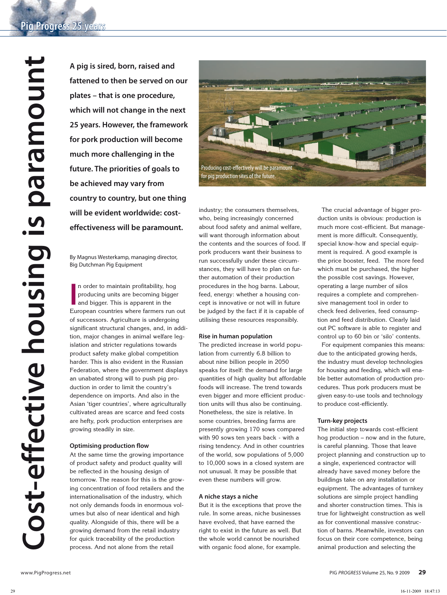A pig is sired, born, raised and<br>tattened to then be served on<br>plates – that is one procedure,<br>which will not change in the new 25 years. However, the framew<br>for pork production will become much more challenging in the<br>fut **fattened to then be served on our plates – that is one procedure, which will not change in the next 25 years. However, the framework for pork production will become much more challenging in the future. The priorities of goals to be achieved may vary from country to country, but one thing will be evident worldwide: costeffectiveness will be paramount.**

By Magnus Westerkamp, managing director, Big Dutchman Pig Equipment

In order to maintain profitability, hog<br>
producing units are becoming bigger<br>
and bigger. This is apparent in the<br>
European countries where farmers run out n order to maintain profitability, hog producing units are becoming bigger and bigger. This is apparent in the of successors. Agriculture is undergoing significant structural changes, and, in addition, major changes in animal welfare legislation and stricter regulations towards product safety make global competition harder. This is also evident in the Russian Federation, where the government displays an unabated strong will to push pig production in order to limit the country's dependence on imports. And also in the Asian 'tiger countries', where agriculturally cultivated areas are scarce and feed costs are hefty, pork production enterprises are growing steadily in size.

# **Optimising production flow**

At the same time the growing importance of product safety and product quality will be reflected in the housing design of tomorrow. The reason for this is the growing concentration of food retailers and the internationalisation of the industry, which not only demands foods in enormous volumes but also of near identical and high quality. Alongside of this, there will be a growing demand from the retail industry for quick traceability of the production process. And not alone from the retail



industry; the consumers themselves, who, being increasingly concerned about food safety and animal welfare, will want thorough information about the contents and the sources of food. If pork producers want their business to run successfully under these circumstances, they will have to plan on further automation of their production procedures in the hog barns. Labour, feed, energy: whether a housing concept is innovative or not will in future be judged by the fact if it is capable of utilising these resources responsibly.

### **Rise in human population**

The predicted increase in world population from currently 6.8 billion to about nine billion people in 2050 speaks for itself: the demand for large quantities of high quality but affordable foods will increase. The trend towards even bigger and more efficient production units will thus also be continuing. Nonetheless, the size is relative. In some countries, breeding farms are presently growing 170 sows compared with 90 sows ten years back - with a rising tendency. And in other countries of the world, sow populations of 5,000 to 10,000 sows in a closed system are not unusual. It may be possible that even these numbers will grow.

### **A niche stays a niche**

But it is the exceptions that prove the rule. In some areas, niche businesses have evolved, that have earned the right to exist in the future as well. But the whole world cannot be nourished with organic food alone, for example.

The crucial advantage of bigger production units is obvious: production is much more cost-efficient. But management is more difficult. Consequently, special know-how and special equipment is required. A good example is the price booster, feed. The more feed which must be purchased, the higher the possible cost savings. However, operating a large number of silos requires a complete and comprehensive management tool in order to check feed deliveries, feed consumption and feed distribution. Clearly laid out PC software is able to register and control up to 60 bin or 'silo' contents.

For equipment companies this means: due to the anticipated growing herds, the industry must develop technologies for housing and feeding, which will enable better automation of production procedures. Thus pork producers must be given easy-to-use tools and technology to produce cost-efficiently.

# **Turn-key projects**

The initial step towards cost-efficient hog production – now and in the future, is careful planning. Those that leave project planning and construction up to a single, experienced contractor will already have saved money before the buildings take on any installation or equipment. The advantages of turnkey solutions are simple project handling and shorter construction times. This is true for lightweight construction as well as for conventional massive construction of barns. Meanwhile, investors can focus on their core competence, being animal production and selecting the